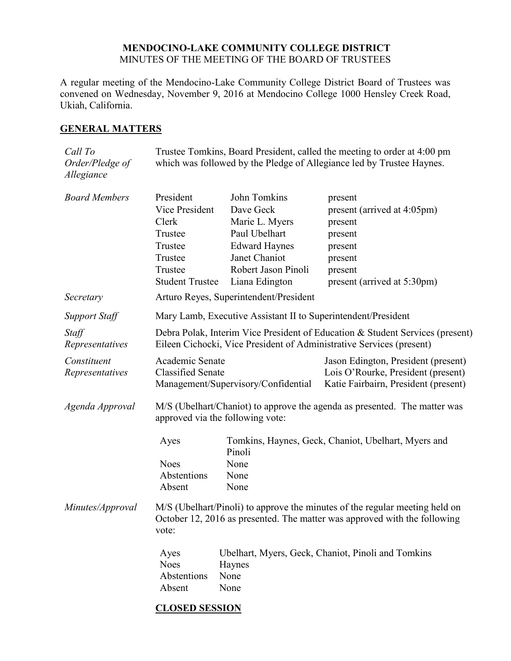#### **MENDOCINO-LAKE COMMUNITY COLLEGE DISTRICT** MINUTES OF THE MEETING OF THE BOARD OF TRUSTEES

A regular meeting of the Mendocino-Lake Community College District Board of Trustees was convened on Wednesday, November 9, 2016 at Mendocino College 1000 Hensley Creek Road, Ukiah, California.

#### **GENERAL MATTERS**

| Call To<br>Order/Pledge of<br>Allegiance | Trustee Tomkins, Board President, called the meeting to order at 4:00 pm<br>which was followed by the Pledge of Allegiance led by Trustee Haynes.                 |                                                                                                                                                |                                                                                                                              |  |
|------------------------------------------|-------------------------------------------------------------------------------------------------------------------------------------------------------------------|------------------------------------------------------------------------------------------------------------------------------------------------|------------------------------------------------------------------------------------------------------------------------------|--|
| <b>Board Members</b>                     | President<br>Vice President<br>Clerk<br>Trustee<br>Trustee<br>Trustee<br>Trustee<br><b>Student Trustee</b>                                                        | John Tomkins<br>Dave Geck<br>Marie L. Myers<br>Paul Ubelhart<br><b>Edward Haynes</b><br>Janet Chaniot<br>Robert Jason Pinoli<br>Liana Edington | present<br>present (arrived at 4:05pm)<br>present<br>present<br>present<br>present<br>present<br>present (arrived at 5:30pm) |  |
| Secretary                                | Arturo Reyes, Superintendent/President                                                                                                                            |                                                                                                                                                |                                                                                                                              |  |
| <b>Support Staff</b>                     | Mary Lamb, Executive Assistant II to Superintendent/President                                                                                                     |                                                                                                                                                |                                                                                                                              |  |
| Staff<br>Representatives                 | Debra Polak, Interim Vice President of Education & Student Services (present)<br>Eileen Cichocki, Vice President of Administrative Services (present)             |                                                                                                                                                |                                                                                                                              |  |
| Constituent<br>Representatives           | Academic Senate<br><b>Classified Senate</b>                                                                                                                       | Management/Supervisory/Confidential                                                                                                            | Jason Edington, President (present)<br>Lois O'Rourke, President (present)<br>Katie Fairbairn, President (present)            |  |
| Agenda Approval                          | M/S (Ubelhart/Chaniot) to approve the agenda as presented. The matter was<br>approved via the following vote:                                                     |                                                                                                                                                |                                                                                                                              |  |
|                                          | Ayes<br><b>Noes</b><br>Abstentions<br>Absent                                                                                                                      | Pinoli<br>None<br>None<br>None                                                                                                                 | Tomkins, Haynes, Geck, Chaniot, Ubelhart, Myers and                                                                          |  |
| Minutes/Approval                         | M/S (Ubelhart/Pinoli) to approve the minutes of the regular meeting held on<br>October 12, 2016 as presented. The matter was approved with the following<br>vote: |                                                                                                                                                |                                                                                                                              |  |
|                                          | Ayes<br><b>Noes</b><br>Abstentions<br>Absent                                                                                                                      | Ubelhart, Myers, Geck, Chaniot, Pinoli and Tomkins<br>Haynes<br>None<br>None                                                                   |                                                                                                                              |  |

## **CLOSED SESSION**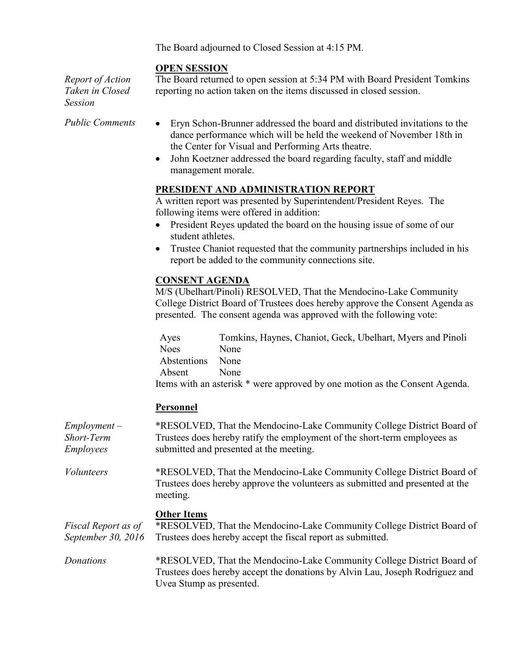The Board adjourned to Closed Session at 4:15 PM.

### **OPEN SESSION**

*Report of Action Taken in Closed Session*

The Board returned to open session at 5:34 PM with Board President Tomkins reporting no action taken on the items discussed in closed session.

- *Public Comments* Eryn Schon-Brunner addressed the board and distributed invitations to the dance performance which will be held the weekend of November 18th in the Center for Visual and Performing Arts theatre.
	- John Koetzner addressed the board regarding faculty, staff and middle management morale.

### **PRESIDENT AND ADMINISTRATION REPORT**

A written report was presented by Superintendent/President Reyes. The following items were offered in addition:

- President Reyes updated the board on the housing issue of some of our student athletes.
- Trustee Chaniot requested that the community partnerships included in his report be added to the community connections site.

### **CONSENT AGENDA**

M/S (Ubelhart/Pinoli) RESOLVED, That the Mendocino-Lake Community College District Board of Trustees does hereby approve the Consent Agenda as presented. The consent agenda was approved with the following vote:

Ayes Tomkins, Haynes, Chaniot, Geck, Ubelhart, Myers and Pinoli Noes None Abstentions None Absent None Items with an asterisk \* were approved by one motion as the Consent Agenda.

### **Personnel**

| $Employment -$<br>Short-Term<br><i>Employees</i> | *RESOLVED, That the Mendocino-Lake Community College District Board of<br>Trustees does hereby ratify the employment of the short-term employees as<br>submitted and presented at the meeting. |
|--------------------------------------------------|------------------------------------------------------------------------------------------------------------------------------------------------------------------------------------------------|
| <i>Volunteers</i>                                | *RESOLVED, That the Mendocino-Lake Community College District Board of<br>Trustees does hereby approve the volunteers as submitted and presented at the<br>meeting.                            |
| Fiscal Report as of<br>September 30, 2016        | <b>Other Items</b><br>*RESOLVED, That the Mendocino-Lake Community College District Board of<br>Trustees does hereby accept the fiscal report as submitted.                                    |
| Donations                                        | *RESOLVED, That the Mendocino-Lake Community College District Board of<br>Trustees does hereby accept the donations by Alvin Lau, Joseph Rodriguez and<br>Uvea Stump as presented.             |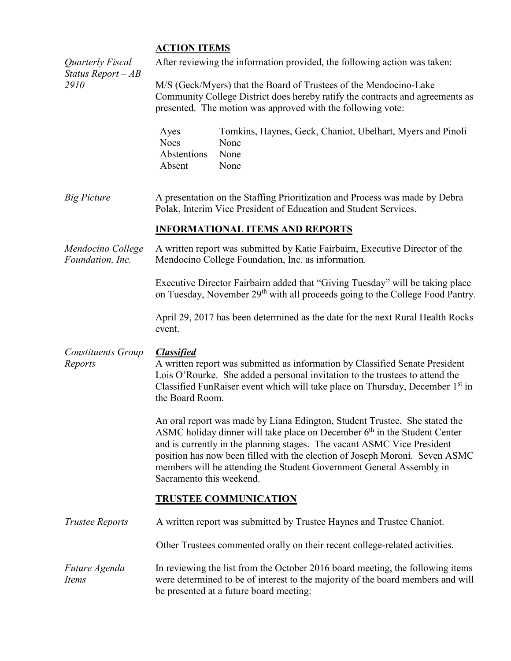# **ACTION ITEMS**

| Quarterly Fiscal<br>Status Report $-AB$<br>2910 | After reviewing the information provided, the following action was taken:                                                                                                                                                                                                                                                                                                                                               |  |  |  |
|-------------------------------------------------|-------------------------------------------------------------------------------------------------------------------------------------------------------------------------------------------------------------------------------------------------------------------------------------------------------------------------------------------------------------------------------------------------------------------------|--|--|--|
|                                                 | M/S (Geck/Myers) that the Board of Trustees of the Mendocino-Lake<br>Community College District does hereby ratify the contracts and agreements as<br>presented. The motion was approved with the following vote:                                                                                                                                                                                                       |  |  |  |
|                                                 | Tomkins, Haynes, Geck, Chaniot, Ubelhart, Myers and Pinoli<br>Ayes<br><b>Noes</b><br>None<br>Abstentions<br>None<br>Absent<br>None                                                                                                                                                                                                                                                                                      |  |  |  |
| <b>Big Picture</b>                              | A presentation on the Staffing Prioritization and Process was made by Debra<br>Polak, Interim Vice President of Education and Student Services.                                                                                                                                                                                                                                                                         |  |  |  |
|                                                 | <b>INFORMATIONAL ITEMS AND REPORTS</b>                                                                                                                                                                                                                                                                                                                                                                                  |  |  |  |
| Mendocino College<br>Foundation, Inc.           | A written report was submitted by Katie Fairbairn, Executive Director of the<br>Mendocino College Foundation, Inc. as information.                                                                                                                                                                                                                                                                                      |  |  |  |
|                                                 | Executive Director Fairbairn added that "Giving Tuesday" will be taking place<br>on Tuesday, November 29 <sup>th</sup> with all proceeds going to the College Food Pantry.                                                                                                                                                                                                                                              |  |  |  |
|                                                 | April 29, 2017 has been determined as the date for the next Rural Health Rocks<br>event.                                                                                                                                                                                                                                                                                                                                |  |  |  |
| <b>Constituents Group</b><br>Reports            | <b>Classified</b><br>A written report was submitted as information by Classified Senate President<br>Lois O'Rourke. She added a personal invitation to the trustees to attend the<br>Classified FunRaiser event which will take place on Thursday, December 1 <sup>st</sup> in<br>the Board Room.                                                                                                                       |  |  |  |
|                                                 | An oral report was made by Liana Edington, Student Trustee. She stated the<br>ASMC holiday dinner will take place on December $6th$ in the Student Center<br>and is currently in the planning stages. The vacant ASMC Vice President<br>position has now been filled with the election of Joseph Moroni. Seven ASMC<br>members will be attending the Student Government General Assembly in<br>Sacramento this weekend. |  |  |  |
|                                                 | <b>TRUSTEE COMMUNICATION</b>                                                                                                                                                                                                                                                                                                                                                                                            |  |  |  |
| <b>Trustee Reports</b>                          | A written report was submitted by Trustee Haynes and Trustee Chaniot.                                                                                                                                                                                                                                                                                                                                                   |  |  |  |
|                                                 | Other Trustees commented orally on their recent college-related activities.                                                                                                                                                                                                                                                                                                                                             |  |  |  |
| Future Agenda<br>Items                          | In reviewing the list from the October 2016 board meeting, the following items<br>were determined to be of interest to the majority of the board members and will<br>be presented at a future board meeting:                                                                                                                                                                                                            |  |  |  |